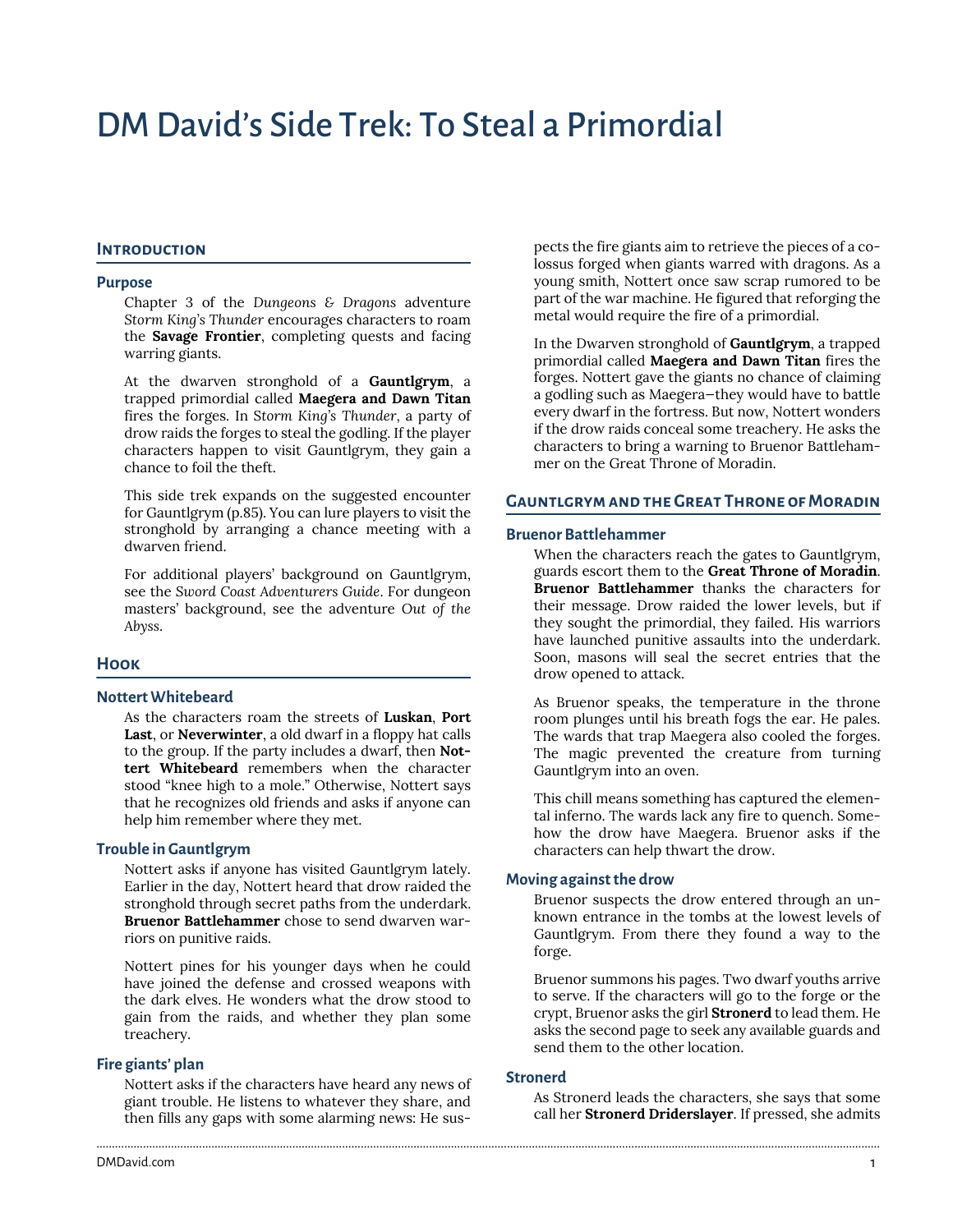# DM David's Side Trek: To Steal a Primordial

# **Introduction**

#### **Purpose**

Chapter 3 of the *Dungeons & Dragons* adventure *Storm King's Thunder* encourages characters to roam the **Savage Frontier**, completing quests and facing warring giants.

At the dwarven stronghold of a **Gauntlgrym**, a trapped primordial called **Maegera and Dawn Titan** fires the forges. In S*torm King's Thunder*, a party of drow raids the forges to steal the godling. If the player characters happen to visit Gauntlgrym, they gain a chance to foil the theft.

This side trek expands on the suggested encounter for Gauntlgrym (p.85). You can lure players to visit the stronghold by arranging a chance meeting with a dwarven friend.

For additional players' background on Gauntlgrym, see the *Sword Coast Adventurers Guide*. For dungeon masters' background, see the adventure *Out of the Abyss*.

#### **Hook**

#### **Nottert Whitebeard**

As the characters roam the streets of **Luskan**, **Port Last**, or **Neverwinter**, a old dwarf in a floppy hat calls to the group. If the party includes a dwarf, then **Nottert Whitebeard** remembers when the character stood "knee high to a mole." Otherwise, Nottert says that he recognizes old friends and asks if anyone can help him remember where they met.

#### **Trouble in Gauntlgrym**

Nottert asks if anyone has visited Gauntlgrym lately. Earlier in the day, Nottert heard that drow raided the stronghold through secret paths from the underdark. **Bruenor Battlehammer** chose to send dwarven warriors on punitive raids.

Nottert pines for his younger days when he could have joined the defense and crossed weapons with the dark elves. He wonders what the drow stood to gain from the raids, and whether they plan some treachery.

#### **Fire giants' plan**

Nottert asks if the characters have heard any news of giant trouble. He listens to whatever they share, and then fills any gaps with some alarming news: He suspects the fire giants aim to retrieve the pieces of a colossus forged when giants warred with dragons. As a young smith, Nottert once saw scrap rumored to be part of the war machine. He figured that reforging the metal would require the fire of a primordial.

In the Dwarven stronghold of **Gauntlgrym**, a trapped primordial called **Maegera and Dawn Titan** fires the forges. Nottert gave the giants no chance of claiming a godling such as Maegera—they would have to battle every dwarf in the fortress. But now, Nottert wonders if the drow raids conceal some treachery. He asks the characters to bring a warning to Bruenor Battlehammer on the Great Throne of Moradin.

#### **Gauntlgrym and the Great Throne of Moradin**

#### **Bruenor Battlehammer**

When the characters reach the gates to Gauntlgrym, guards escort them to the **Great Throne of Moradin**. **Bruenor Battlehammer** thanks the characters for their message. Drow raided the lower levels, but if they sought the primordial, they failed. His warriors have launched punitive assaults into the underdark. Soon, masons will seal the secret entries that the drow opened to attack.

As Bruenor speaks, the temperature in the throne room plunges until his breath fogs the ear. He pales. The wards that trap Maegera also cooled the forges. The magic prevented the creature from turning Gauntlgrym into an oven.

This chill means something has captured the elemental inferno. The wards lack any fire to quench. Somehow the drow have Maegera. Bruenor asks if the characters can help thwart the drow.

#### **Moving against the drow**

Bruenor suspects the drow entered through an unknown entrance in the tombs at the lowest levels of Gauntlgrym. From there they found a way to the forge.

Bruenor summons his pages. Two dwarf youths arrive to serve. If the characters will go to the forge or the crypt, Bruenor asks the girl **Stronerd** to lead them. He asks the second page to seek any available guards and send them to the other location.

### **Stronerd**

............................................................................................................................................................................................................................................................

As Stronerd leads the characters, she says that some call her **Stronerd Driderslayer**. If pressed, she admits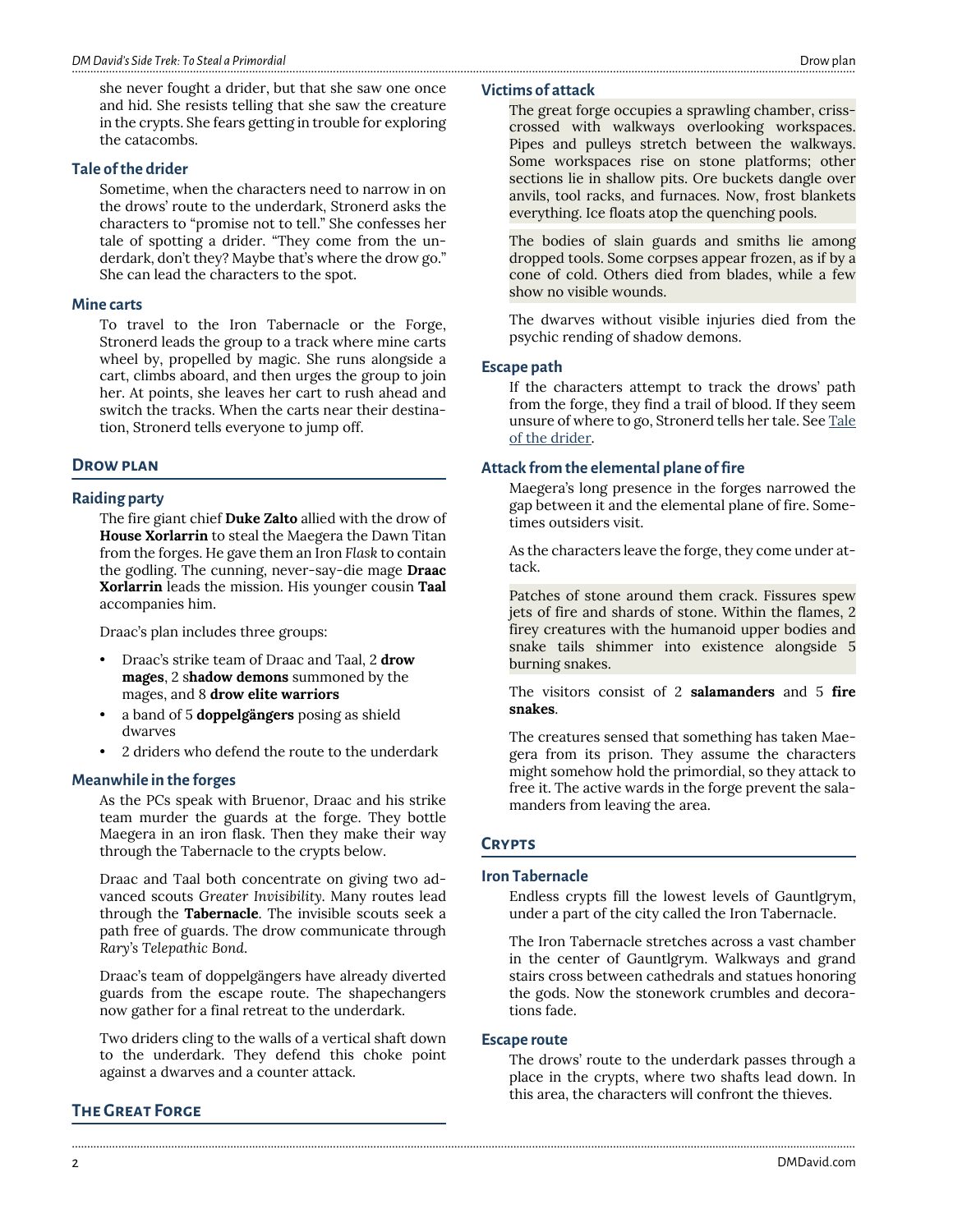she never fought a drider, but that she saw one once and hid. She resists telling that she saw the creature in the crypts. She fears getting in trouble for exploring the catacombs.

# <span id="page-1-0"></span>**Tale of the drider**

Sometime, when the characters need to narrow in on the drows' route to the underdark, Stronerd asks the characters to "promise not to tell." She confesses her tale of spotting a drider. "They come from the underdark, don't they? Maybe that's where the drow go." She can lead the characters to the spot.

# **Mine carts**

To travel to the Iron Tabernacle or the Forge, Stronerd leads the group to a track where mine carts wheel by, propelled by magic. She runs alongside a cart, climbs aboard, and then urges the group to join her. At points, she leaves her cart to rush ahead and switch the tracks. When the carts near their destination, Stronerd tells everyone to jump off.

# **Drow plan**

# **Raiding party**

The fire giant chief **Duke Zalto** allied with the drow of **House Xorlarrin** to steal the Maegera the Dawn Titan from the forges. He gave them an Iron *Flask* to contain the godling. The cunning, never-say-die mage **Draac Xorlarrin** leads the mission. His younger cousin **Taal** accompanies him.

Draac's plan includes three groups:

- Draac's strike team of Draac and Taal, 2 **drow mages**, 2 s**hadow demons** summoned by the mages, and 8 **drow elite warriors**
- a band of 5 **doppelgängers** posing as shield dwarves
- 2 driders who defend the route to the underdark

#### **Meanwhile in the forges**

As the PCs speak with Bruenor, Draac and his strike team murder the guards at the forge. They bottle Maegera in an iron flask. Then they make their way through the Tabernacle to the crypts below.

Draac and Taal both concentrate on giving two advanced scouts *Greater Invisibility*. Many routes lead through the **Tabernacle**. The invisible scouts seek a path free of guards. The drow communicate through *Rary's Telepathic Bond*.

Draac's team of doppelgängers have already diverted guards from the escape route. The shapechangers now gather for a final retreat to the underdark.

Two driders cling to the walls of a vertical shaft down to the underdark. They defend this choke point against a dwarves and a counter attack.

# **The Great Forge**

#### **Victims of attack**

The great forge occupies a sprawling chamber, crisscrossed with walkways overlooking workspaces. Pipes and pulleys stretch between the walkways. Some workspaces rise on stone platforms; other sections lie in shallow pits. Ore buckets dangle over anvils, tool racks, and furnaces. Now, frost blankets everything. Ice floats atop the quenching pools.

The bodies of slain guards and smiths lie among dropped tools. Some corpses appear frozen, as if by a cone of cold. Others died from blades, while a few show no visible wounds.

The dwarves without visible injuries died from the psychic rending of shadow demons.

#### **Escape path**

If the characters attempt to track the drows' path from the forge, they find a trail of blood. If they seem unsure of where to go, Stronerd tells her tale. See [Tale](#page-1-0) [of the drider.](#page-1-0)

#### **Attack from the elemental plane of fire**

Maegera's long presence in the forges narrowed the gap between it and the elemental plane of fire. Sometimes outsiders visit.

As the characters leave the forge, they come under attack.

Patches of stone around them crack. Fissures spew jets of fire and shards of stone. Within the flames, 2 firey creatures with the humanoid upper bodies and snake tails shimmer into existence alongside 5 burning snakes.

The visitors consist of 2 **salamanders** and 5 **fire snakes**.

The creatures sensed that something has taken Maegera from its prison. They assume the characters might somehow hold the primordial, so they attack to free it. The active wards in the forge prevent the salamanders from leaving the area.

#### **Crypts**

#### **Iron Tabernacle**

Endless crypts fill the lowest levels of Gauntlgrym, under a part of the city called the Iron Tabernacle.

The Iron Tabernacle stretches across a vast chamber in the center of Gauntlgrym. Walkways and grand stairs cross between cathedrals and statues honoring the gods. Now the stonework crumbles and decorations fade.

#### **Escape route**

............................................................................................................................................................................................................................................................

The drows' route to the underdark passes through a place in the crypts, where two shafts lead down. In this area, the characters will confront the thieves.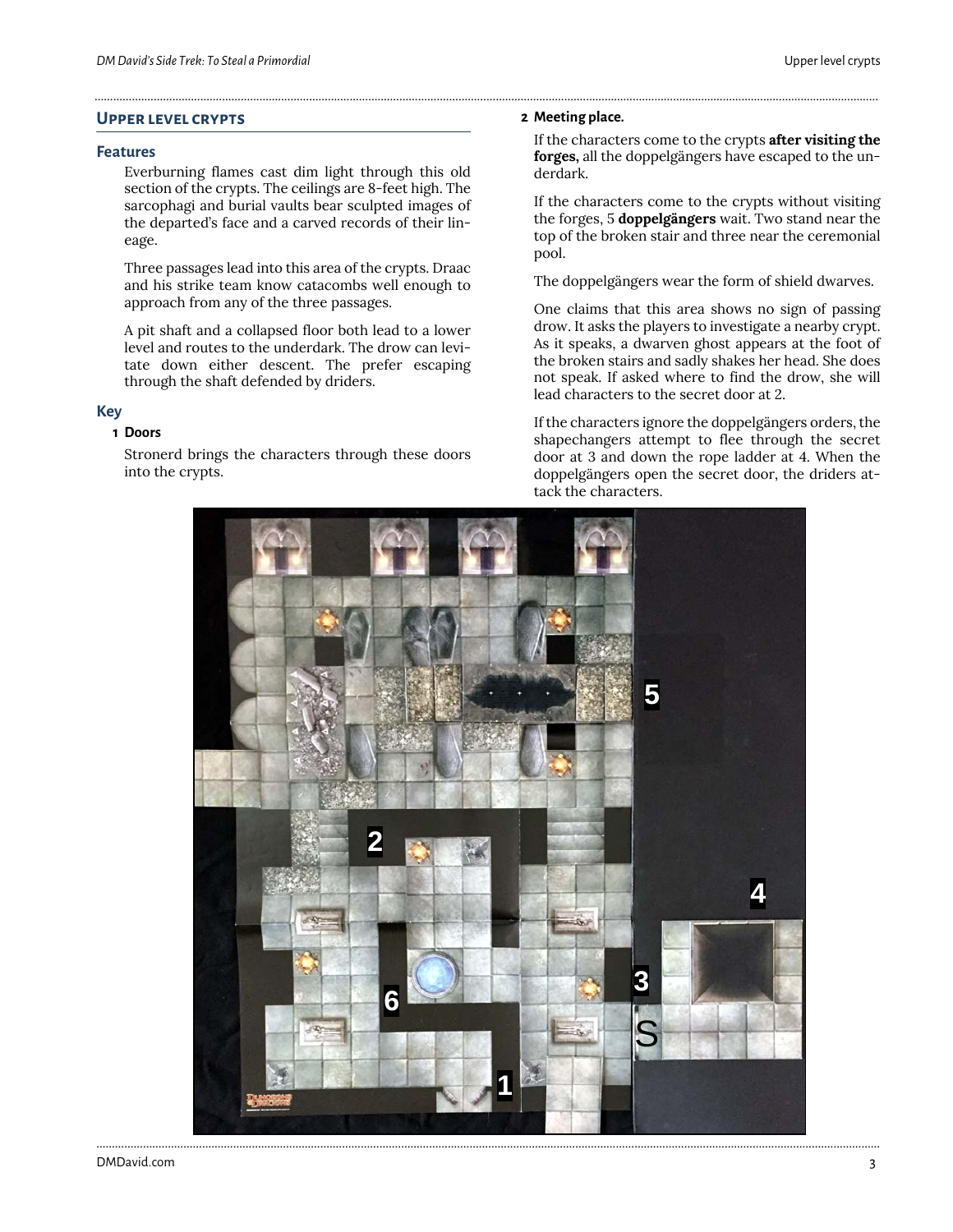# **Upper level crypts**

#### **Features**

Everburning flames cast dim light through this old section of the crypts. The ceilings are 8-feet high. The sarcophagi and burial vaults bear sculpted images of the departed's face and a carved records of their lineage.

Three passages lead into this area of the crypts. Draac and his strike team know catacombs well enough to approach from any of the three passages.

A pit shaft and a collapsed floor both lead to a lower level and routes to the underdark. The drow can levitate down either descent. The prefer escaping through the shaft defended by driders.

# **Key**

# **1 Doors**

Stronerd brings the characters through these doors into the crypts.

#### **2 Meeting place.**

............................................................................................................................................................................................................................................................

If the characters come to the crypts **after visiting the forges,** all the doppelgängers have escaped to the underdark.

If the characters come to the crypts without visiting the forges, 5 **doppelgängers** wait. Two stand near the top of the broken stair and three near the ceremonial pool.

The doppelgängers wear the form of shield dwarves.

One claims that this area shows no sign of passing drow. It asks the players to investigate a nearby crypt. As it speaks, a dwarven ghost appears at the foot of the broken stairs and sadly shakes her head. She does not speak. If asked where to find the drow, she will lead characters to the secret door at 2.

If the characters ignore the doppelgängers orders, the shapechangers attempt to flee through the secret door at 3 and down the rope ladder at 4. When the doppelgängers open the secret door, the driders attack the characters.

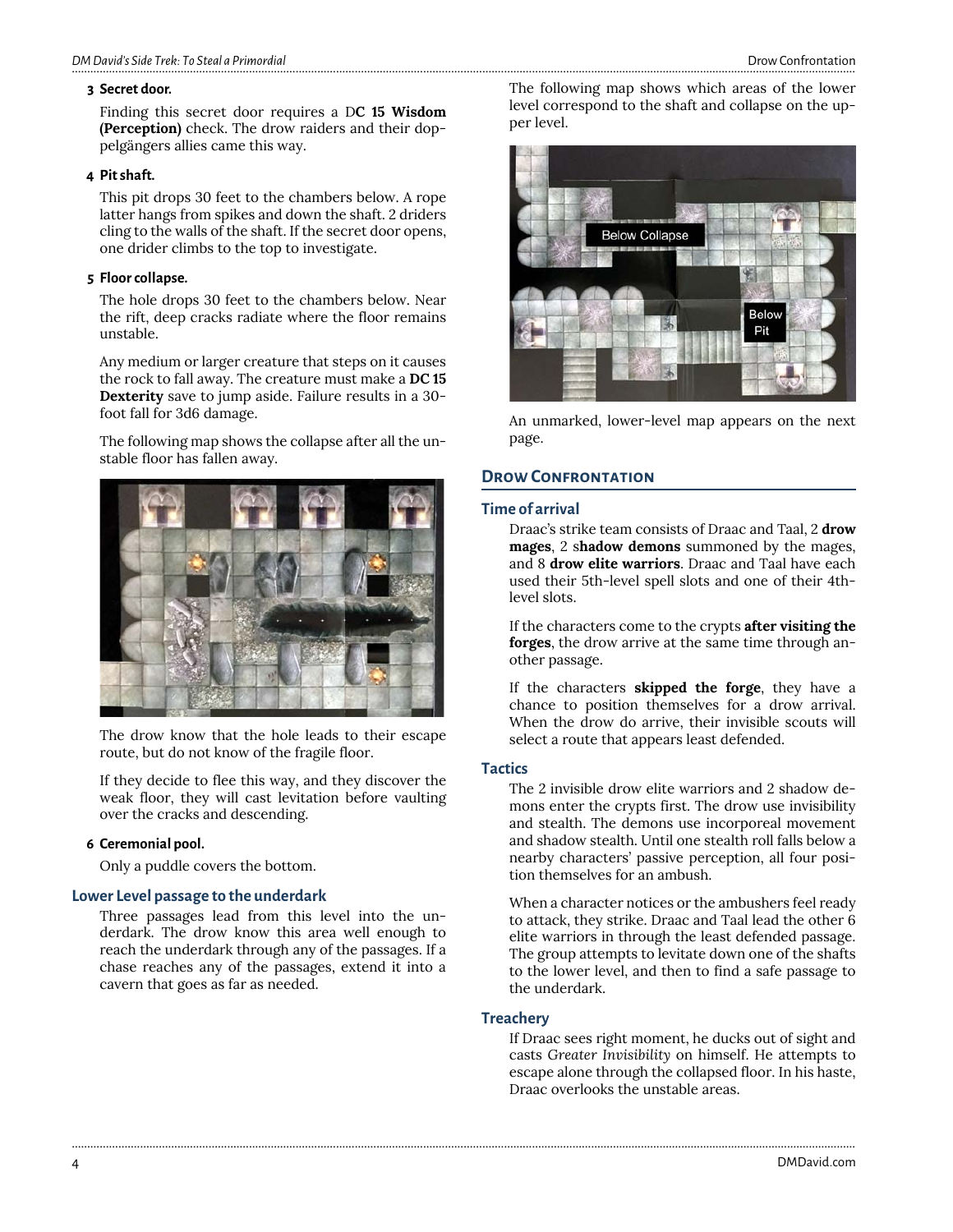#### **3 Secret door.**

Finding this secret door requires a D**C 15 Wisdom (Perception)** check. The drow raiders and their doppelgängers allies came this way.

#### **4 Pit shaft.**

This pit drops 30 feet to the chambers below. A rope latter hangs from spikes and down the shaft. 2 driders cling to the walls of the shaft. If the secret door opens, one drider climbs to the top to investigate.

#### **5 Floor collapse.**

The hole drops 30 feet to the chambers below. Near the rift, deep cracks radiate where the floor remains unstable.

Any medium or larger creature that steps on it causes the rock to fall away. The creature must make a **DC 15 Dexterity** save to jump aside. Failure results in a 30 foot fall for 3d6 damage.

The following map shows the collapse after all the unstable floor has fallen away.



The drow know that the hole leads to their escape route, but do not know of the fragile floor.

If they decide to flee this way, and they discover the weak floor, they will cast levitation before vaulting over the cracks and descending.

#### **6 Ceremonial pool.**

Only a puddle covers the bottom.

#### **Lower Level passage to the underdark**

Three passages lead from this level into the underdark. The drow know this area well enough to reach the underdark through any of the passages. If a chase reaches any of the passages, extend it into a cavern that goes as far as needed.

The following map shows which areas of the lower level correspond to the shaft and collapse on the upper level.



An unmarked, lower-level map appears on the next page.

# **DROW CONFRONTATION**

# **Time of arrival**

Draac's strike team consists of Draac and Taal, 2 **drow mages**, 2 s**hadow demons** summoned by the mages, and 8 **drow elite warriors**. Draac and Taal have each used their 5th-level spell slots and one of their 4thlevel slots.

If the characters come to the crypts **after visiting the forges**, the drow arrive at the same time through another passage.

If the characters **skipped the forge**, they have a chance to position themselves for a drow arrival. When the drow do arrive, their invisible scouts will select a route that appears least defended.

# **Tactics**

The 2 invisible drow elite warriors and 2 shadow demons enter the crypts first. The drow use invisibility and stealth. The demons use incorporeal movement and shadow stealth. Until one stealth roll falls below a nearby characters' passive perception, all four position themselves for an ambush.

When a character notices or the ambushers feel ready to attack, they strike. Draac and Taal lead the other 6 elite warriors in through the least defended passage. The group attempts to levitate down one of the shafts to the lower level, and then to find a safe passage to the underdark.

#### **Treachery**

............................................................................................................................................................................................................................................................

If Draac sees right moment, he ducks out of sight and casts *Greater Invisibility* on himself. He attempts to escape alone through the collapsed floor. In his haste, Draac overlooks the unstable areas.